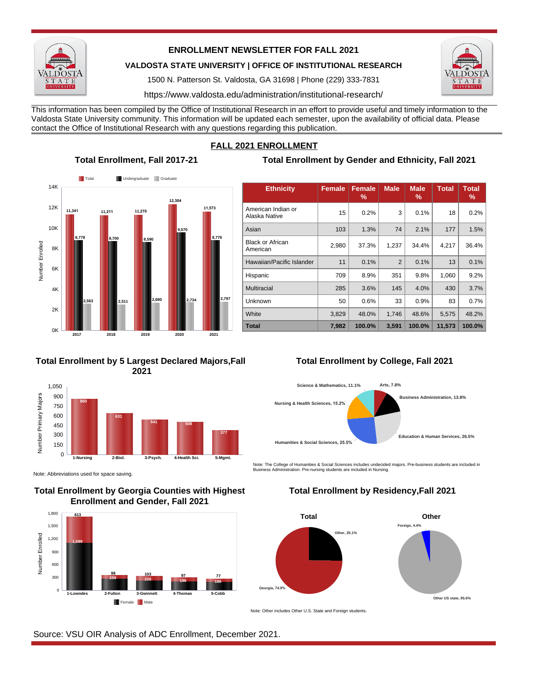

## **ENROLLMENT NEWSLETTER FOR FALL 2021**

**VALDOSTA STATE UNIVERSITY | OFFICE OF INSTITUTIONAL RESEARCH**

1500 N. Patterson St. Valdosta, GA 31698 | Phone (229) 333-7831

https://www.valdosta.edu/administration/institutional-research/

This information has been compiled by the Office of Institutional Research in an effort to provide useful and timely information to the Valdosta State University community. This information will be updated each semester, upon the availability of official data. Please contact the Office of Institutional Research with any questions regarding this publication.



### **Total Enrollment by 5 Largest Declared Majors,Fall 2021**



Note: Abbreviations used for space saving.

## **Total Enrollment by Georgia Counties with Highest Enrollment and Gender, Fall 2021**



# **FALL 2021 ENROLLMENT**

# **Total Enrollment, Fall 2017-21 Total Enrollment by Gender and Ethnicity, Fall 2021**

| <b>Ethnicity</b>                    | <b>Female</b> | Female<br>% | <b>Male</b>    | <b>Male</b><br>% | <b>Total</b> | <b>Total</b><br>℅ |
|-------------------------------------|---------------|-------------|----------------|------------------|--------------|-------------------|
| American Indian or<br>Alaska Native | 15            | 0.2%        | 3              | 0.1%             | 18           | 0.2%              |
| Asian                               | 103           | 1.3%        | 74             | 2.1%             | 177          | 1.5%              |
| <b>Black or African</b><br>American | 2,980         | 37.3%       | 1,237          | 34.4%            | 4,217        | 36.4%             |
| Hawaiian/Pacific Islander           | 11            | 0.1%        | $\overline{2}$ | 0.1%             | 13           | 0.1%              |
| Hispanic                            | 709           | 8.9%        | 351            | 9.8%             | 1,060        | 9.2%              |
| Multiracial                         | 285           | 3.6%        | 145            | 4.0%             | 430          | 3.7%              |
| Unknown                             | 50            | 0.6%        | 33             | 0.9%             | 83           | 0.7%              |
| White                               | 3,829         | 48.0%       | 1,746          | 48.6%            | 5,575        | 48.2%             |
| <b>Total</b>                        | 7,982         | 100.0%      | 3,591          | 100.0%           | 11,573       | 100.0%            |

# **Total Enrollment by College, Fall 2021**



Note: The College of Humanities & Social Sciences includes undecided majors. Pre-business students are included in Business Administration. Pre-nursing students are included in Nursing.

# **Total Enrollment by Residency,Fall 2021**



Note: Other includes Other U.S. State and Foreign students.

Source: VSU OIR Analysis of ADC Enrollment, December 2021.

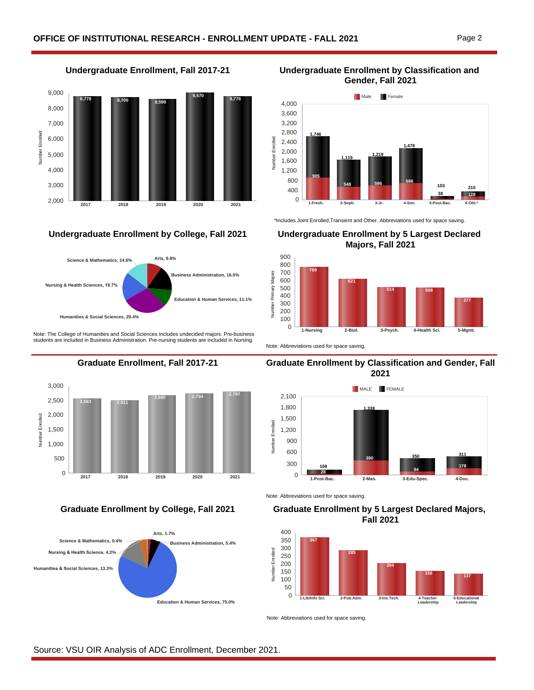



Note: The College of Humanities and Social Sciences includes undecided majors. Pre-business students are included in Business Administration. Pre-nursing students are included in Nursing.





**Undergraduate Enrollment, Fall 2017-21 Undergraduate Enrollment by Classification and Gender, Fall 2021**



\*Includes Joint Enrolled,Transient and Other. Abbreviations used for space saving.

### **Undergraduate Enrollment by College, Fall 2021 Undergraduate Enrollment by 5 Largest Declared Majors, Fall 2021**



Note: Abbreviations used for space saving.

### **Graduate Enrollment, Fall 2017-21 Graduate Enrollment by Classification and Gender, Fall 2021**



Note: Abbreviations used for space saving.

### **Graduate Enrollment by College, Fall 2021 Graduate Enrollment by 5 Largest Declared Majors, Fall 2021**



Note: Abbreviations used for space saving.

Source: VSU OIR Analysis of ADC Enrollment, December 2021.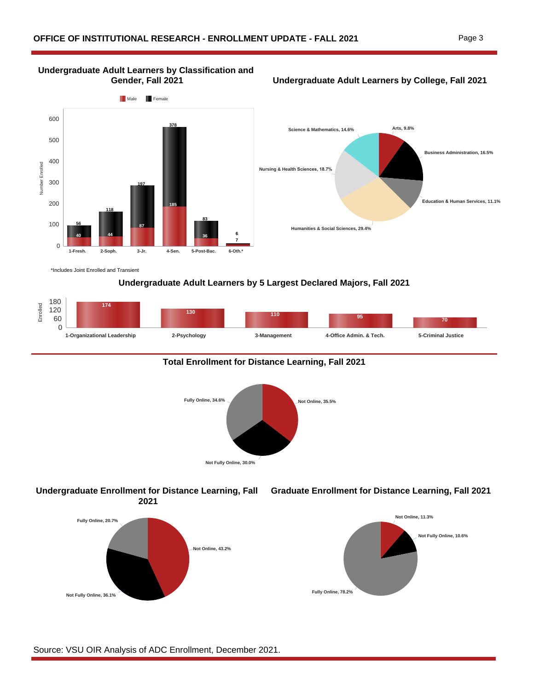# **Undergraduate Adult Learners by Classification and**

**Gender, Fall 2021 Undergraduate Adult Learners by College, Fall 2021**





\*Includes Joint Enrolled and Transient

## **Undergraduate Adult Learners by 5 Largest Declared Majors, Fall 2021**



### **Total Enrollment for Distance Learning, Fall 2021**



### **Undergraduate Enrollment for Distance Learning, Fall 2021**



### **Graduate Enrollment for Distance Learning, Fall 2021**



Source: VSU OIR Analysis of ADC Enrollment, December 2021.